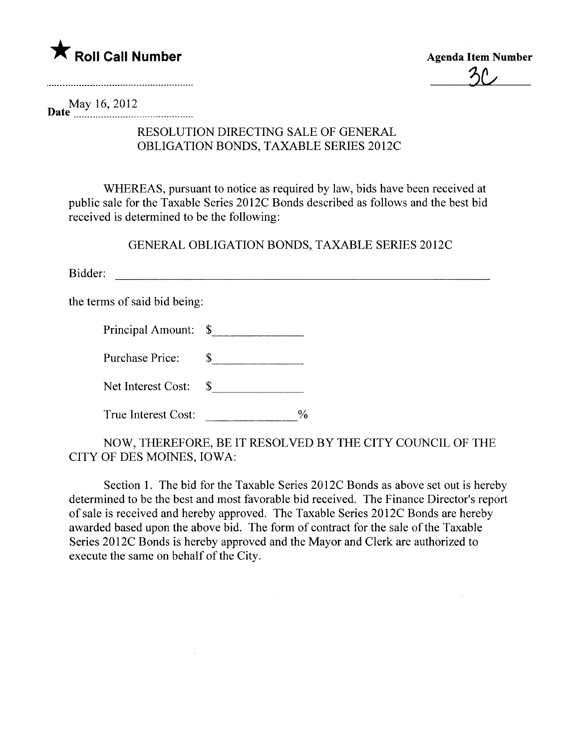

 ${\mathcal{Z}}$ 

May 16,2012 Date \_\_ \_ \_ \_ \_\_ \_ \_ \_ \_ \_\_\_ \_ \_ \_ \_ \_\_\_\_\_ \_ \_\_h \_ \_h \_ \_\_ \_ \_ \_ \_ \_ \_ \_ \_\_

## RESOLUTION DIRECTING SALE OF GENERAL OBLIGATION BONDS, TAXABLE SERIES 2012C

WHEREAS, pursuant to notice as required by law, bids have been received at public sale for the Taxable Series 2012C Bonds described as follows and the best bid received is determined to be the following:

GENERAL OBLIGATION BONDS, TAXABLE SERIES 2012C

Bidder:

the terms of said bid being:

|  | Principal Amount: \$ |  |
|--|----------------------|--|
|--|----------------------|--|

Purchase Price: \$

Net Interest Cost: \$

True Interest Cost:  $\%$ 

NOW, THEREFORE, BE IT RESOLVED BY THE CITY COUNCIL OF THE CITY OF DES MOINES, IOWA:

Section 1. The bid for the Taxable Series 2012C Bonds as above set out is hereby determined to be the best and most favorable bid received. The Finance Director's report of sale is received and hereby approved. The Taxable Series 20 12C Bonds are hereby awarded based upon the above bid. The form of contract for the sale of the Taxable Series 2012C Bonds is hereby approved and the Mayor and Clerk are authorized to execute the same on behalf of the City.